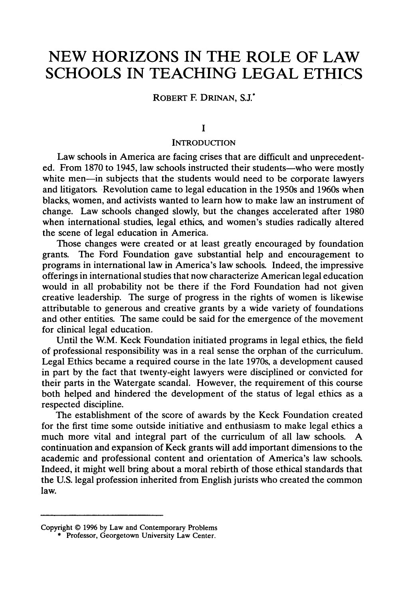# **NEW HORIZONS IN THE ROLE OF LAW SCHOOLS IN TEACHING LEGAL ETHICS**

ROBERT F. DRINAN, S.J.<sup>\*</sup>

#### **I**

### **INTRODUCTION**

Law schools in America are facing crises that are difficult and unprecedented. From 1870 to 1945, law schools instructed their students—who were mostly white men—in subjects that the students would need to be corporate lawyers and litigators. Revolution came to legal education in the 1950s and 1960s when blacks, women, and activists wanted to learn how to make law an instrument of change. Law schools changed slowly, but the changes accelerated after 1980 when international. studies, legal ethics, and women's studies radically altered the scene of legal education in America.

Those changes were created or at least greatly encouraged by foundation grants. The Ford Foundation gave substantial help and encouragement to programs in international law in America's law schools. Indeed, the impressive offerings in international studies that now characterize American legal education would in all probability not be there if the Ford Foundation had not given creative leadership. The surge of progress in the rights of women is likewise attributable to generous and creative grants by a wide variety of foundations and other entities. The same could be said for the emergence of the movement for clinical legal education.

Until the W.M. Keck Foundation initiated programs in legal ethics, the field of professional responsibility was in a real sense the orphan of the curriculum. Legal Ethics became a required course in the late 1970s, a development caused in part by the fact that twenty-eight lawyers were disciplined or convicted for their parts in the Watergate scandal. However, the requirement of this course both helped and hindered the development of the status of legal ethics as a respected discipline.

The establishment of the score of awards by the Keck Foundation created for the first time some outside initiative and enthusiasm to make legal ethics a much more vital and integral part of the curriculum of all law schools. A continuation and expansion of Keck grants will add important dimensions to the academic and professional content and orientation of America's law schools. Indeed, it might well bring about a moral rebirth of those ethical standards that the U.S. legal profession inherited from English jurists who created the common law.

Copyright **© 1996 by** Law and Contemporary Problems \* Professor, Georgetown University Law Center.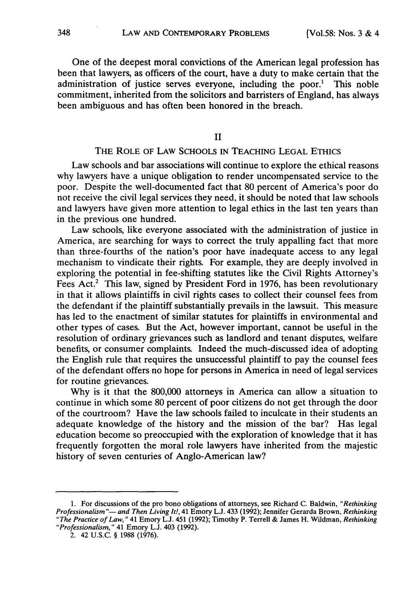One of the deepest moral convictions of the American legal profession has been that lawyers, as officers of the court, have a duty to make certain that the administration of justice serves everyone, including the poor.' This noble commitment, inherited from the solicitors and barristers of England, has always been ambiguous and has often been honored in the breach.

II

# THE ROLE OF LAW SCHOOLS IN TEACHING LEGAL ETHICS

Law schools and bar associations will continue to explore the ethical reasons why lawyers have a unique obligation to render uncompensated service to the poor. Despite the well-documented fact that 80 percent of America's poor do not receive the civil legal services they need, it should be noted that law schools and lawyers have given more attention to legal ethics in the last ten years than in the previous one hundred.

Law schools, like everyone associated with the administration of justice in America, are searching for ways to correct the truly appalling fact that more than three-fourths of the nation's poor have inadequate access to any legal mechanism to vindicate their rights. For example, they are deeply involved in exploring the potential in fee-shifting statutes like the Civil Rights Attorney's Fees Act.<sup>2</sup> This law, signed by President Ford in 1976, has been revolutionary in that it allows plaintiffs in civil rights cases to collect their counsel fees from the defendant if the plaintiff substantially prevails in the lawsuit. This measure has led to the enactment of similar statutes for plaintiffs in environmental and other types of cases. But the Act, however important, cannot be useful in the resolution of ordinary grievances such as landlord and tenant disputes, welfare benefits, or consumer complaints. Indeed the much-discussed idea of adopting the English rule that requires the unsuccessful plaintiff to pay the counsel fees of the defendant offers no hope for persons in America in need of legal services for routine grievances.

Why is it that the 800,000 attorneys in America can allow a situation to continue in which some 80 percent of poor citizens do not get through the door of the courtroom? Have the law schools failed to inculcate in their students an adequate knowledge of the history and the mission of the bar? Has legal education become so preoccupied with the exploration of knowledge that it has frequently forgotten the moral role lawyers have inherited from the majestic history of seven centuries of Anglo-American law?

<sup>1.</sup> For discussions of the pro bono obligations of attorneys, see Richard C. Baldwin, *"Rethinking Professionalism "-- and Then Living It!,* 41 Emory **L.J.** 433 (1992); Jennifer Gerarda Brown, *Rethinking "The Practice of Law,"* 41 Emory L.J. 451 (1992); Timothy P. Terrell & James H. Wildman, *Rethinking "Professionalism,"* 41 Emory L.J. 403 (1992).

<sup>2. 42</sup> U.S.C. § 1988 (1976).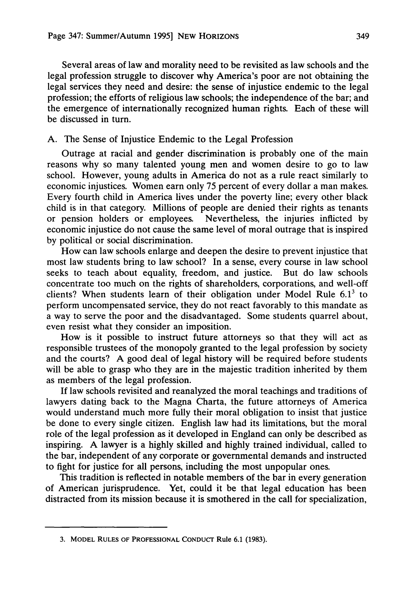Several areas of law and morality need to be revisited as law schools and the legal profession struggle to discover why America's poor are not obtaining the legal services they need and desire: the sense of injustice endemic to the legal profession; the efforts of religious law schools; the independence of the bar; and the emergence of internationally recognized human rights. Each of these will be discussed in turn.

#### A. The Sense of Injustice Endemic to the Legal Profession

Outrage at racial and gender discrimination is probably one of the main reasons why so many talented young men and women desire to go to law school. However, young adults in America do not as a rule react similarly to economic injustices. Women earn only 75 percent of every dollar a man makes. Every fourth child in America lives under the poverty line; every other black child is in that category. Millions of people are denied their rights as tenants or pension holders or employees. Nevertheless, the injuries inflicted by economic injustice do not cause the same level of moral outrage that is inspired by political or social discrimination.

How can law schools enlarge and deepen the desire to prevent injustice that most law students bring to law school? In a sense, every course in law school seeks to teach about equality, freedom, and justice. But do law schools concentrate too much on the rights of shareholders, corporations, and well-off clients? When students learn of their obligation under Model Rule  $6.1<sup>3</sup>$  to perform uncompensated service, they do not react favorably to this mandate as a way to serve the poor and the disadvantaged. Some students quarrel about, even resist what they consider an imposition.

How is it possible to instruct future attorneys so that they will act as responsible trustees of the monopoly granted to the legal profession by society and the courts? A good deal of legal history will be required before students will be able to grasp who they are in the majestic tradition inherited by them as members of the legal profession.

If law schools revisited and reanalyzed the moral teachings and traditions of lawyers dating back to the Magna Charta, the future attorneys of America would understand much more fully their moral obligation to insist that justice be done to every single citizen. English law had its limitations, but the moral role of the legal profession as it developed in England can only be described as inspiring. A lawyer is a highly skilled and highly trained individual, called to the bar, independent of any corporate or governmental demands and instructed to fight for justice for all persons, including the most unpopular ones.

This tradition is reflected in notable members of the bar in every generation of American jurisprudence. Yet, could it be that legal education has been distracted from its mission because it is smothered in the call for specialization,

**<sup>3.</sup>** MODEL **RULES** OF **PROFESSIONAL** CONDUCr Rule **6.1 (1983).**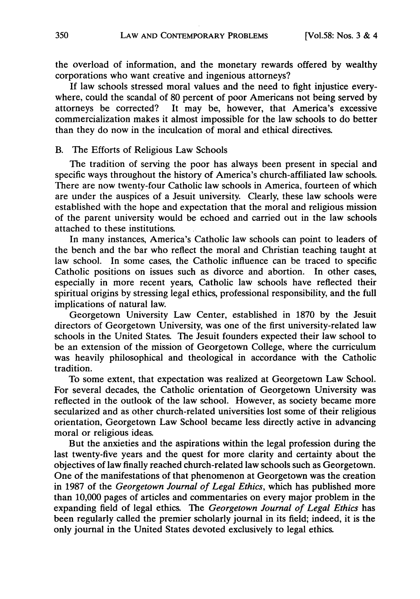the overload of information, and the monetary rewards offered by wealthy corporations who want creative and ingenious attorneys?

If law schools stressed moral values and the need to fight injustice everywhere, could the scandal of 80 percent of poor Americans not being served by attorneys be corrected? It may be, however, that America's excessive commercialization makes it almost impossible for the law schools to do better than they do now in the inculcation of moral and ethical directives.

### B. The Efforts of Religious Law Schools

The tradition of serving the poor has always been present in special and specific ways throughout the history of America's church-affiliated law schools. There are now twenty-four Catholic law schools in America, fourteen of which are under the auspices of a Jesuit university. Clearly, these law schools were established with the hope and expectation that the moral and religious mission of the parent university would be echoed and carried out in the law schools attached to these institutions.

In many instances, America's Catholic law schools can point to leaders of the bench and the bar who reflect the moral and Christian teaching taught at law school. In some cases, the Catholic influence can be traced to specific Catholic positions on issues such as divorce and abortion. In other cases, especially in more recent years, Catholic law schools have reflected their spiritual origins by stressing legal ethics, professional responsibility, and the full implications of natural law.

Georgetown University Law Center, established in 1870 by the Jesuit directors of Georgetown University, was one of the first university-related law schools in the United States. The Jesuit founders expected their law school to be an extension of the mission of Georgetown College, where the curriculum was heavily philosophical and theological in accordance with the Catholic tradition.

To some extent, that expectation was realized at Georgetown Law School. For several decades, the Catholic orientation of Georgetown University was reflected in the outlook of the law school. However, as society became more secularized and as other church-related universities lost some of their religious orientation, Georgetown Law School became less directly active in advancing moral or religious ideas.

But the anxieties and the aspirations within the legal profession during the last twenty-five years and the quest for more clarity and certainty about the objectives of law finally reached church-related law schools such as Georgetown. One of the manifestations of that phenomenon at Georgetown was the creation in 1987 of the Georgetown Journal of Legal Ethics, which has published more than 10,000 pages of articles and commentaries on every major problem in the expanding field of legal ethics. The Georgetown Journal of Legal Ethics has been regularly called the premier scholarly journal in its field; indeed, it is the only journal in the United States devoted exclusively to legal ethics.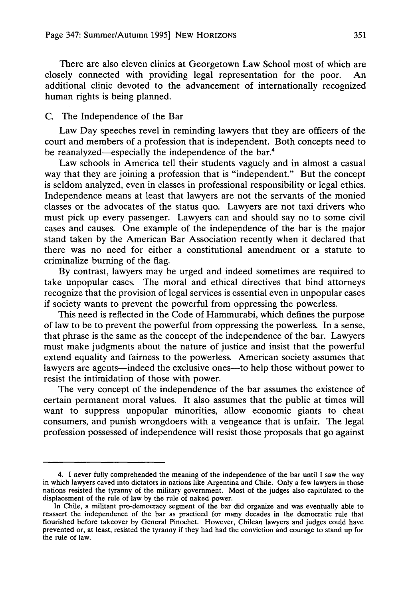There are also eleven clinics at Georgetown Law School most of which are closely connected with providing legal representation for the poor. An additional clinic devoted to the advancement of internationally recognized human rights is being planned.

#### C. The Independence of the Bar

Law Day speeches revel in reminding lawyers that they are officers of the court and members of a profession that is independent. Both concepts need to be reanalyzed—especially the independence of the bar.<sup>4</sup>

Law schools in America tell their students vaguely and in almost a casual way that they are joining a profession that is "independent." But the concept is seldom analyzed, even in classes in professional responsibility or legal ethics. Independence means at least that lawyers are not the servants of the monied classes or the advocates of the status quo. Lawyers are not taxi drivers who must pick up every passenger. Lawyers can and should say no to some civil cases and causes. One example of the independence of the bar is the major stand taken by the American Bar Association recently when it declared that there was no need for either a constitutional amendment or a statute to criminalize burning of the flag.

By contrast, lawyers may be urged and indeed sometimes are required to take unpopular cases. The moral and ethical directives that bind attorneys recognize that the provision of legal services is essential even in unpopular cases if society wants to prevent the powerful from oppressing the powerless.

This need is reflected in the Code of Hammurabi, which defines the purpose of law to be to prevent the powerful from oppressing the powerless. In a sense, that phrase is the same as the concept of the independence of the bar. Lawyers must make judgments about the nature of justice and insist that the powerful extend equality and fairness to the powerless. American society assumes that lawyers are agents—indeed the exclusive ones—to help those without power to resist the intimidation of those with power.

The very concept of the independence of the bar assumes the existence of certain permanent moral values. It also assumes that the public at times will want to suppress unpopular minorities, allow economic giants to cheat consumers, and punish wrongdoers with a vengeance that is unfair. The legal profession possessed of independence will resist those proposals that go against

<sup>4.</sup> I never fully comprehended the meaning of the independence of the bar until I saw the way in which lawyers caved into dictators in nations like Argentina and Chile. Only a few lawyers in those nations resisted the tyranny of the military government. Most of the judges also capitulated to the displacement of the rule of law by the rule of naked power.

In Chile, a militant pro-democracy segment of the bar did organize and was eventually able to reassert the independence of the bar as practiced for many decades in the democratic rule that flourished before takeover by General Pinochet. However, Chilean lawyers and judges could have prevented or, at least, resisted the tyranny if they had had the conviction and courage to stand up for the rule of law.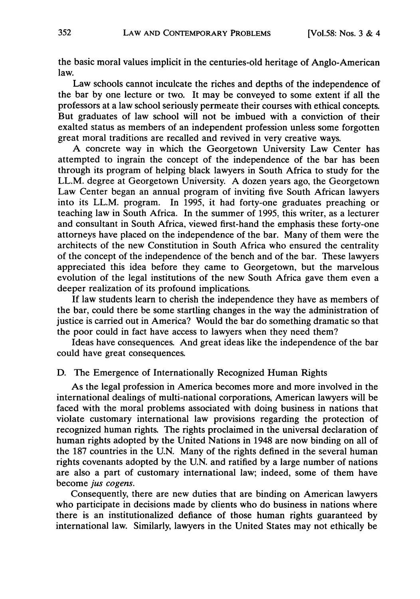the basic moral values implicit in the centuries-old heritage of Anglo-American law.

Law schools cannot inculcate the riches and depths of the independence of the bar by one lecture or two. It may be conveyed to some extent if all the professors at a law school seriously permeate their courses with ethical concepts. But graduates of law school will not be imbued with a conviction of their exalted status as members of an independent profession unless some forgotten great moral traditions are recalled and revived in very creative ways.

A concrete way in which the Georgetown University Law Center has attempted to ingrain the concept of the independence of the bar has been through its program of helping black lawyers in South Africa to study for the LL.M. degree at Georgetown University. A dozen years ago, the Georgetown Law Center began an annual program of inviting five South African lawyers into its LL.M. program. In 1995, it had forty-one graduates preaching or teaching law in South Africa. In the summer of 1995, this writer, as a lecturer and consultant in South Africa, viewed first-hand the emphasis these forty-one attorneys have placed on the independence of the bar. Many of them were the architects of the new Constitution in South Africa who ensured the centrality of the concept of the independence of the bench and of the bar. These lawyers appreciated this idea before they came to Georgetown, but the marvelous evolution of the legal institutions of the new South Africa gave them even a deeper realization of its profound implications.

If law students learn to cherish the independence they have as members of the bar, could there be some startling changes in the way the administration of justice is carried out in America? Would the bar do something dramatic so that the poor could in fact have access to lawyers when they need them?

Ideas have consequences. And great ideas like the independence of the bar could have great consequences.

## D. The Emergence of Internationally Recognized Human Rights

As the legal profession in America becomes more and more involved in the international dealings of multi-national corporations, American lawyers will be faced with the moral problems associated with doing business in nations that violate customary international law provisions regarding the protection of recognized human rights. The rights proclaimed in the universal declaration of human rights adopted by the United Nations in 1948 are now binding on all of the 187 countries in the U.N. Many of the rights defined in the several human rights covenants adopted by the U.N. and ratified by a large number of nations are also a part of customary international law; indeed, some of them have become *jus cogens.*

Consequently, there are new duties that are binding on American lawyers who participate in decisions made by clients who do business in nations where there is an institutionalized defiance of those human rights guaranteed by international law. Similarly, lawyers in the United States may not ethically be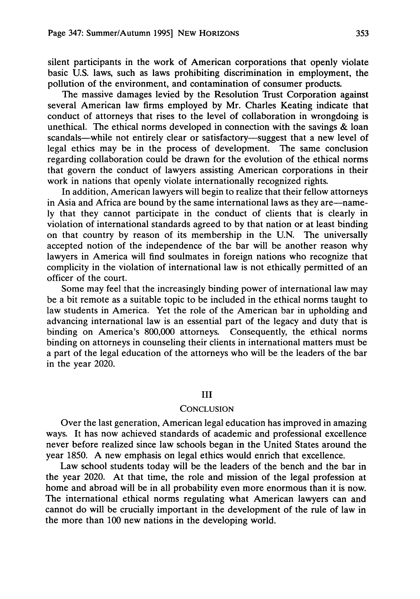silent participants in the work of American corporations that openly violate basic U.S. laws, such as laws prohibiting discrimination in employment, the pollution of the environment, and contamination of consumer products.

The massive damages levied by the Resolution Trust Corporation against several American law firms employed by Mr. Charles Keating indicate that conduct of attorneys that rises to the level of collaboration in wrongdoing is unethical. The ethical norms developed in connection with the savings & loan scandals—while not entirely clear or satisfactory—suggest that a new level of legal ethics may be in the process of development. The same conclusion regarding collaboration could be drawn for the evolution of the ethical norms that govern the conduct of lawyers assisting American corporations in their work in nations that openly violate internationally recognized rights.

In addition, American lawyers will begin to realize that their fellow attorneys in Asia and Africa are bound by the same international laws as they are—namely that they cannot participate in the conduct of clients that is clearly in violation of international standards agreed to by that nation or at least binding on that country by reason of its membership in the U.N. The universally accepted notion of the independence of the bar will be another reason why lawyers in America will find soulmates in foreign nations who recognize that complicity in the violation of international law is not ethically permitted of an officer of the court.

Some may feel that the increasingly binding power of international law may be a bit remote as a suitable topic to be included in the ethical norms taught to law students in America. Yet the role of the American bar in upholding and advancing international law is an essential part of the legacy and duty that is binding on America's 800,000 attorneys. Consequently, the ethical norms binding on attorneys in counseling their clients in international matters must be a part of the legal education of the attorneys who will be the leaders of the bar in the year 2020.

#### III

### **CONCLUSION**

Over the last generation, American legal education has improved in amazing ways. It has now achieved standards of academic and professional excellence never before realized since law schools began in the United States around the year 1850. A new emphasis on legal ethics would enrich that excellence.

Law school students today will be the leaders of the bench and the bar in the year 2020. At that time, the role and mission of the legal profession at home and abroad will be in all probability even more enormous than it is now. The international ethical norms regulating what American lawyers can and cannot do will be crucially important in the development of the rule of law in the more than **100** new nations in the developing world.